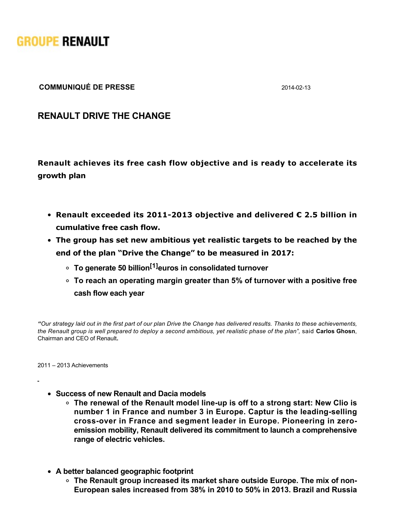

**COMMUNIQUÉ DE PRESSE** 20140213

**RENAULT DRIVE THE CHANGE**

**Renault achieves its free cash flow objective and is ready to accelerate its growth plan**

- **Renault exceeded its 2011-2013 objective and delivered € 2.5 billion in cumulative free cash flow.**
- **The group has set new ambitious yet realistic targets to be reached by the end of the plan "Drive the Change" to be measured in 2017:** 
	- **To generate 50 billion[1]euros in consolidated turnover**
	- **To reach an operating margin greater than 5% of turnover with a positive free cash flow each year**

*"Our strategy laid out in the first part of our plan Drive the Change has delivered results. Thanks to these achievements, the Renault group is well prepared to deploy a second ambitious, yet realistic phase of the plan",* said **Carlos Ghosn**, Chairman and CEO of Renault**.**

2011 – 2013 Achievements

- **Success of new Renault and Dacia models**
	- The renewal of the Renault model line-up is off to a strong start: New Clio is number 1 in France and number 3 in Europe. Captur is the leading-selling cross-over in France and segment leader in Europe. Pioneering in zero**emission mobility, Renault delivered its commitment to launch a comprehensive range of electric vehicles.**
- **A better balanced geographic footprint**
	- **The Renault group increased its market share outside Europe. The mix of non-European sales increased from 38% in 2010 to 50% in 2013. Brazil and Russia**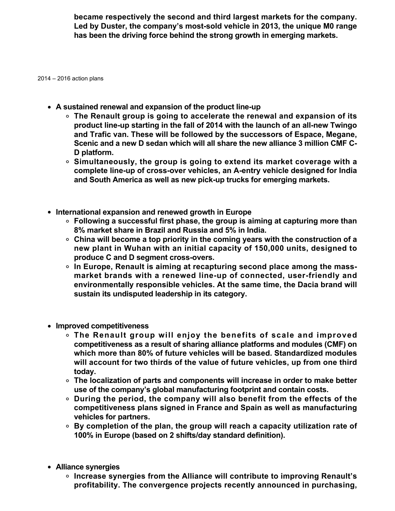**became respectively the second and third largest markets for the company.** Led by Duster, the company's most-sold vehicle in 2013, the unique M0 range **has been the driving force behind the strong growth in emerging markets.**

2014 – 2016 action plans

- A sustained renewal and expansion of the product line-up
	- **The Renault group is going to accelerate the renewal and expansion of its** product line-up starting in the fall of 2014 with the launch of an all-new Twingo **and Trafic van. These will be followed by the successors of Espace, Megane, Scenic and a new D sedan which will all share the new alliance 3 million CMF C-D platform.**
	- **Simultaneously, the group is going to extend its market coverage with a** complete line-up of cross-over vehicles, an A-entry vehicle designed for India and South America as well as new pick-up trucks for emerging markets.
- **International expansion and renewed growth in Europe**
	- **Following a successful first phase, the group is aiming at capturing more than 8% market share in Brazil and Russia and 5% in India.**
	- **China will become a top priority in the coming years with the construction of a new plant in Wuhan with an initial capacity of 150,000 units, designed to** produce C and D segment cross-overs.
	- **In Europe, Renault is aiming at recapturing second place among the mass**market brands with a renewed line-up of connected, user-friendly and **environmentally responsible vehicles. At the same time, the Dacia brand will sustain its undisputed leadership in its category.**
- **Improved competitiveness**
	- **The Renault group will enjoy the benefits of scale and improved competitiveness as a result of sharing alliance platforms and modules (CMF) on which more than 80% of future vehicles will be based. Standardized modules will account for two thirds of the value of future vehicles, up from one third today.**
	- **The localization of parts and components will increase in order to make better use of the company's global manufacturing footprint and contain costs.**
	- **During the period, the company will also benefit from the effects of the competitiveness plans signed in France and Spain as well as manufacturing vehicles for partners.**
	- **By completion of the plan, the group will reach a capacity utilization rate of 100% in Europe (based on 2 shifts/day standard definition).**
- **Alliance synergies**
	- **Increase synergies from the Alliance will contribute to improving Renault's profitability. The convergence projects recently announced in purchasing,**